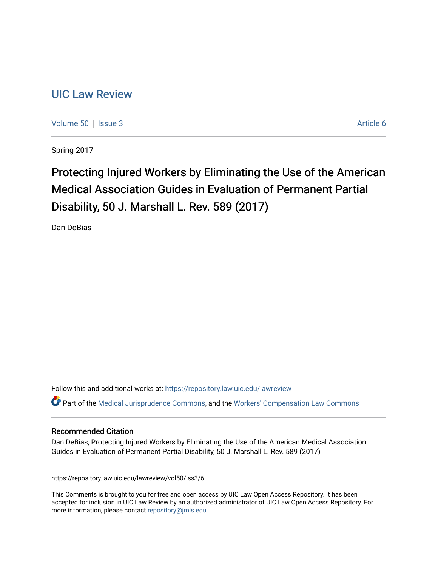# [UIC Law Review](https://repository.law.uic.edu/lawreview)

[Volume 50](https://repository.law.uic.edu/lawreview/vol50) | [Issue 3](https://repository.law.uic.edu/lawreview/vol50/iss3) Article 6

Spring 2017

# Protecting Injured Workers by Eliminating the Use of the American Medical Association Guides in Evaluation of Permanent Partial Disability, 50 J. Marshall L. Rev. 589 (2017)

Dan DeBias

Follow this and additional works at: [https://repository.law.uic.edu/lawreview](https://repository.law.uic.edu/lawreview?utm_source=repository.law.uic.edu%2Flawreview%2Fvol50%2Fiss3%2F6&utm_medium=PDF&utm_campaign=PDFCoverPages) 

Part of the [Medical Jurisprudence Commons,](http://network.bepress.com/hgg/discipline/860?utm_source=repository.law.uic.edu%2Flawreview%2Fvol50%2Fiss3%2F6&utm_medium=PDF&utm_campaign=PDFCoverPages) and the [Workers' Compensation Law Commons](http://network.bepress.com/hgg/discipline/889?utm_source=repository.law.uic.edu%2Flawreview%2Fvol50%2Fiss3%2F6&utm_medium=PDF&utm_campaign=PDFCoverPages)

#### Recommended Citation

Dan DeBias, Protecting Injured Workers by Eliminating the Use of the American Medical Association Guides in Evaluation of Permanent Partial Disability, 50 J. Marshall L. Rev. 589 (2017)

https://repository.law.uic.edu/lawreview/vol50/iss3/6

This Comments is brought to you for free and open access by UIC Law Open Access Repository. It has been accepted for inclusion in UIC Law Review by an authorized administrator of UIC Law Open Access Repository. For more information, please contact [repository@jmls.edu.](mailto:repository@jmls.edu)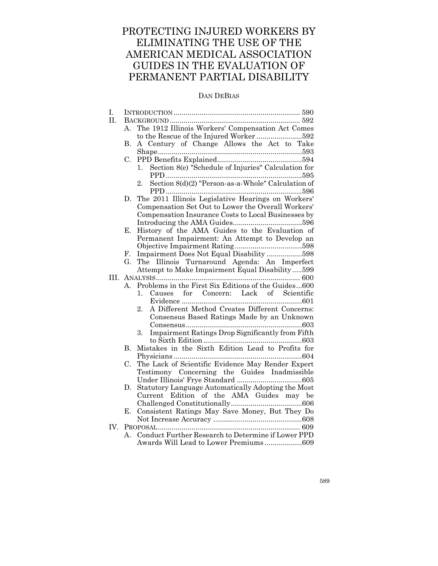## PROTECTING INJURED WORKERS BY ELIMINATING THE USE OF THE AMERICAN MEDICAL ASSOCIATION GUIDES IN THE EVALUATION OF PERMANENT PARTIAL DISABILITY

## DAN DEBIAS

| I.  |                                               |                                                                                                                                                                                                                                                                                                                                                                                                                                                                                                                                                                                                                                                                                                                                                                                                                                                                                                                                                                                                                       |  |  |  |  |  |  |  |
|-----|-----------------------------------------------|-----------------------------------------------------------------------------------------------------------------------------------------------------------------------------------------------------------------------------------------------------------------------------------------------------------------------------------------------------------------------------------------------------------------------------------------------------------------------------------------------------------------------------------------------------------------------------------------------------------------------------------------------------------------------------------------------------------------------------------------------------------------------------------------------------------------------------------------------------------------------------------------------------------------------------------------------------------------------------------------------------------------------|--|--|--|--|--|--|--|
| Π.  |                                               |                                                                                                                                                                                                                                                                                                                                                                                                                                                                                                                                                                                                                                                                                                                                                                                                                                                                                                                                                                                                                       |  |  |  |  |  |  |  |
|     | А.                                            | The 1912 Illinois Workers' Compensation Act Comes                                                                                                                                                                                                                                                                                                                                                                                                                                                                                                                                                                                                                                                                                                                                                                                                                                                                                                                                                                     |  |  |  |  |  |  |  |
|     |                                               | to the Rescue of the Injured Worker 592                                                                                                                                                                                                                                                                                                                                                                                                                                                                                                                                                                                                                                                                                                                                                                                                                                                                                                                                                                               |  |  |  |  |  |  |  |
|     | В.                                            | A Century of Change Allows the Act to Take                                                                                                                                                                                                                                                                                                                                                                                                                                                                                                                                                                                                                                                                                                                                                                                                                                                                                                                                                                            |  |  |  |  |  |  |  |
|     |                                               |                                                                                                                                                                                                                                                                                                                                                                                                                                                                                                                                                                                                                                                                                                                                                                                                                                                                                                                                                                                                                       |  |  |  |  |  |  |  |
|     | C.                                            |                                                                                                                                                                                                                                                                                                                                                                                                                                                                                                                                                                                                                                                                                                                                                                                                                                                                                                                                                                                                                       |  |  |  |  |  |  |  |
|     |                                               | Section 8(e) "Schedule of Injuries" Calculation for<br>1.                                                                                                                                                                                                                                                                                                                                                                                                                                                                                                                                                                                                                                                                                                                                                                                                                                                                                                                                                             |  |  |  |  |  |  |  |
|     |                                               |                                                                                                                                                                                                                                                                                                                                                                                                                                                                                                                                                                                                                                                                                                                                                                                                                                                                                                                                                                                                                       |  |  |  |  |  |  |  |
|     |                                               | Section 8(d)(2) "Person-as-a-Whole" Calculation of<br>2.                                                                                                                                                                                                                                                                                                                                                                                                                                                                                                                                                                                                                                                                                                                                                                                                                                                                                                                                                              |  |  |  |  |  |  |  |
|     |                                               |                                                                                                                                                                                                                                                                                                                                                                                                                                                                                                                                                                                                                                                                                                                                                                                                                                                                                                                                                                                                                       |  |  |  |  |  |  |  |
|     |                                               |                                                                                                                                                                                                                                                                                                                                                                                                                                                                                                                                                                                                                                                                                                                                                                                                                                                                                                                                                                                                                       |  |  |  |  |  |  |  |
|     |                                               |                                                                                                                                                                                                                                                                                                                                                                                                                                                                                                                                                                                                                                                                                                                                                                                                                                                                                                                                                                                                                       |  |  |  |  |  |  |  |
|     |                                               |                                                                                                                                                                                                                                                                                                                                                                                                                                                                                                                                                                                                                                                                                                                                                                                                                                                                                                                                                                                                                       |  |  |  |  |  |  |  |
|     |                                               |                                                                                                                                                                                                                                                                                                                                                                                                                                                                                                                                                                                                                                                                                                                                                                                                                                                                                                                                                                                                                       |  |  |  |  |  |  |  |
|     |                                               |                                                                                                                                                                                                                                                                                                                                                                                                                                                                                                                                                                                                                                                                                                                                                                                                                                                                                                                                                                                                                       |  |  |  |  |  |  |  |
|     |                                               |                                                                                                                                                                                                                                                                                                                                                                                                                                                                                                                                                                                                                                                                                                                                                                                                                                                                                                                                                                                                                       |  |  |  |  |  |  |  |
|     |                                               |                                                                                                                                                                                                                                                                                                                                                                                                                                                                                                                                                                                                                                                                                                                                                                                                                                                                                                                                                                                                                       |  |  |  |  |  |  |  |
|     |                                               |                                                                                                                                                                                                                                                                                                                                                                                                                                                                                                                                                                                                                                                                                                                                                                                                                                                                                                                                                                                                                       |  |  |  |  |  |  |  |
|     |                                               |                                                                                                                                                                                                                                                                                                                                                                                                                                                                                                                                                                                                                                                                                                                                                                                                                                                                                                                                                                                                                       |  |  |  |  |  |  |  |
|     |                                               |                                                                                                                                                                                                                                                                                                                                                                                                                                                                                                                                                                                                                                                                                                                                                                                                                                                                                                                                                                                                                       |  |  |  |  |  |  |  |
|     |                                               |                                                                                                                                                                                                                                                                                                                                                                                                                                                                                                                                                                                                                                                                                                                                                                                                                                                                                                                                                                                                                       |  |  |  |  |  |  |  |
|     |                                               |                                                                                                                                                                                                                                                                                                                                                                                                                                                                                                                                                                                                                                                                                                                                                                                                                                                                                                                                                                                                                       |  |  |  |  |  |  |  |
|     |                                               |                                                                                                                                                                                                                                                                                                                                                                                                                                                                                                                                                                                                                                                                                                                                                                                                                                                                                                                                                                                                                       |  |  |  |  |  |  |  |
|     |                                               |                                                                                                                                                                                                                                                                                                                                                                                                                                                                                                                                                                                                                                                                                                                                                                                                                                                                                                                                                                                                                       |  |  |  |  |  |  |  |
|     |                                               |                                                                                                                                                                                                                                                                                                                                                                                                                                                                                                                                                                                                                                                                                                                                                                                                                                                                                                                                                                                                                       |  |  |  |  |  |  |  |
|     |                                               |                                                                                                                                                                                                                                                                                                                                                                                                                                                                                                                                                                                                                                                                                                                                                                                                                                                                                                                                                                                                                       |  |  |  |  |  |  |  |
|     |                                               |                                                                                                                                                                                                                                                                                                                                                                                                                                                                                                                                                                                                                                                                                                                                                                                                                                                                                                                                                                                                                       |  |  |  |  |  |  |  |
|     |                                               |                                                                                                                                                                                                                                                                                                                                                                                                                                                                                                                                                                                                                                                                                                                                                                                                                                                                                                                                                                                                                       |  |  |  |  |  |  |  |
|     |                                               |                                                                                                                                                                                                                                                                                                                                                                                                                                                                                                                                                                                                                                                                                                                                                                                                                                                                                                                                                                                                                       |  |  |  |  |  |  |  |
|     |                                               |                                                                                                                                                                                                                                                                                                                                                                                                                                                                                                                                                                                                                                                                                                                                                                                                                                                                                                                                                                                                                       |  |  |  |  |  |  |  |
|     |                                               |                                                                                                                                                                                                                                                                                                                                                                                                                                                                                                                                                                                                                                                                                                                                                                                                                                                                                                                                                                                                                       |  |  |  |  |  |  |  |
|     |                                               |                                                                                                                                                                                                                                                                                                                                                                                                                                                                                                                                                                                                                                                                                                                                                                                                                                                                                                                                                                                                                       |  |  |  |  |  |  |  |
|     |                                               |                                                                                                                                                                                                                                                                                                                                                                                                                                                                                                                                                                                                                                                                                                                                                                                                                                                                                                                                                                                                                       |  |  |  |  |  |  |  |
|     | D.                                            |                                                                                                                                                                                                                                                                                                                                                                                                                                                                                                                                                                                                                                                                                                                                                                                                                                                                                                                                                                                                                       |  |  |  |  |  |  |  |
|     |                                               |                                                                                                                                                                                                                                                                                                                                                                                                                                                                                                                                                                                                                                                                                                                                                                                                                                                                                                                                                                                                                       |  |  |  |  |  |  |  |
|     |                                               |                                                                                                                                                                                                                                                                                                                                                                                                                                                                                                                                                                                                                                                                                                                                                                                                                                                                                                                                                                                                                       |  |  |  |  |  |  |  |
|     | Е.                                            |                                                                                                                                                                                                                                                                                                                                                                                                                                                                                                                                                                                                                                                                                                                                                                                                                                                                                                                                                                                                                       |  |  |  |  |  |  |  |
|     |                                               |                                                                                                                                                                                                                                                                                                                                                                                                                                                                                                                                                                                                                                                                                                                                                                                                                                                                                                                                                                                                                       |  |  |  |  |  |  |  |
| IV. |                                               |                                                                                                                                                                                                                                                                                                                                                                                                                                                                                                                                                                                                                                                                                                                                                                                                                                                                                                                                                                                                                       |  |  |  |  |  |  |  |
|     | $A_{-}$                                       | Conduct Further Research to Determine if Lower PPD                                                                                                                                                                                                                                                                                                                                                                                                                                                                                                                                                                                                                                                                                                                                                                                                                                                                                                                                                                    |  |  |  |  |  |  |  |
|     |                                               | Awards Will Lead to Lower Premiums609                                                                                                                                                                                                                                                                                                                                                                                                                                                                                                                                                                                                                                                                                                                                                                                                                                                                                                                                                                                 |  |  |  |  |  |  |  |
| HL. | D.<br>Е.<br>F.<br>G.<br>А.<br><b>B.</b><br>C. | The 2011 Illinois Legislative Hearings on Workers'<br>Compensation Set Out to Lower the Overall Workers'<br>Compensation Insurance Costs to Local Businesses by<br>History of the AMA Guides to the Evaluation of<br>Permanent Impairment: An Attempt to Develop an<br>Impairment Does Not Equal Disability 598<br>The Illinois Turnaround Agenda: An Imperfect<br>Attempt to Make Impairment Equal Disability599<br>Problems in the First Six Editions of the Guides600<br>for Concern: Lack of Scientific<br>$\mathbf{1}$ .<br>Causes<br>A Different Method Creates Different Concerns:<br>2.<br>Consensus Based Ratings Made by an Unknown<br>Impairment Ratings Drop Significantly from Fifth<br>3.<br>Mistakes in the Sixth Edition Lead to Profits for<br>The Lack of Scientific Evidence May Render Expert<br>Testimony Concerning the Guides Inadmissible<br>Statutory Language Automatically Adopting the Most<br>Current Edition of the AMA Guides may be<br>Consistent Ratings May Save Money, But They Do |  |  |  |  |  |  |  |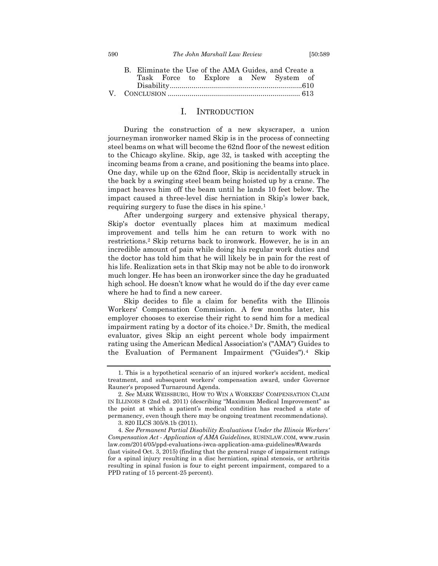|  |  |  |  | B. Eliminate the Use of the AMA Guides, and Create a |  |  |  |  |
|--|--|--|--|------------------------------------------------------|--|--|--|--|
|  |  |  |  | Task Force to Explore a New System of                |  |  |  |  |
|  |  |  |  |                                                      |  |  |  |  |
|  |  |  |  |                                                      |  |  |  |  |

#### I. INTRODUCTION

<span id="page-2-0"></span>During the construction of a new skyscraper, a union journeyman ironworker named Skip is in the process of connecting steel beams on what will become the 62nd floor of the newest edition to the Chicago skyline. Skip, age 32, is tasked with accepting the incoming beams from a crane, and positioning the beams into place. One day, while up on the 62nd floor, Skip is accidentally struck in the back by a swinging steel beam being hoisted up by a crane. The impact heaves him off the beam until he lands 10 feet below. The impact caused a three-level disc herniation in Skip's lower back, requiring surgery to fuse the discs in his spine.<sup>1</sup>

After undergoing surgery and extensive physical therapy, Skip's doctor eventually places him at maximum medical improvement and tells him he can return to work with no restrictions.<sup>2</sup> Skip returns back to ironwork. However, he is in an incredible amount of pain while doing his regular work duties and the doctor has told him that he will likely be in pain for the rest of his life. Realization sets in that Skip may not be able to do ironwork much longer. He has been an ironworker since the day he graduated high school. He doesn't know what he would do if the day ever came where he had to find a new career.

Skip decides to file a claim for benefits with the Illinois Workers' Compensation Commission. A few months later, his employer chooses to exercise their right to send him for a medical impairment rating by a doctor of its choice.<sup>3</sup> Dr. Smith, the medical evaluator, gives Skip an eight percent whole body impairment rating using the American Medical Association's ("AMA") Guides to the Evaluation of Permanent Impairment ("Guides").<sup>4</sup> Skip

<sup>1.</sup> This is a hypothetical scenario of an injured worker's accident, medical treatment, and subsequent workers' compensation award, under Governor Rauner's proposed Turnaround Agenda.

<sup>2.</sup> *See* MARK WEISSBURG*,* HOW TO WIN A WORKERS' COMPENSATION CLAIM IN ILLINOIS 8 (2nd ed. 2011) (describing "Maximum Medical Improvement" as the point at which a patient's medical condition has reached a state of permanency, even though there may be ongoing treatment recommendations).

<sup>3.</sup> 820 ILCS 305/8.1b (2011).

<sup>4.</sup> *See Permanent Partial Disability Evaluations Under the Illinois Workers' Compensation Act - Application of AMA Guidelines*, RUSINLAW.COM, www.rusin law.com/2014/05/ppd-evaluations-iwca-application-ama-guidelines/#Awards (last visited Oct. 3, 2015) (finding that the general range of impairment ratings for a spinal injury resulting in a disc herniation, spinal stenosis, or arthritis resulting in spinal fusion is four to eight percent impairment, compared to a PPD rating of 15 percent-25 percent).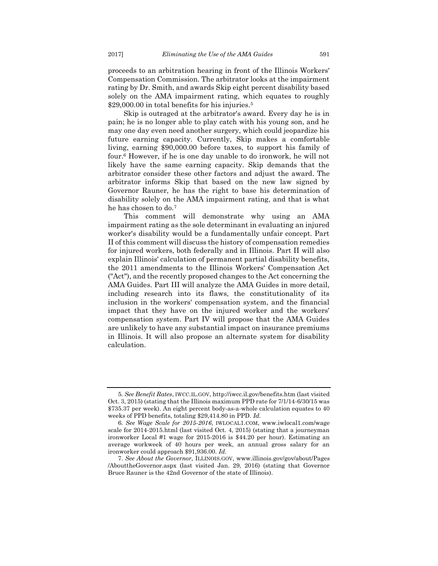proceeds to an arbitration hearing in front of the Illinois Workers' Compensation Commission. The arbitrator looks at the impairment rating by Dr. Smith, and awards Skip eight percent disability based solely on the AMA impairment rating, which equates to roughly \$29,000.00 in total benefits for his injuries.<sup>5</sup>

Skip is outraged at the arbitrator's award. Every day he is in pain; he is no longer able to play catch with his young son, and he may one day even need another surgery, which could jeopardize his future earning capacity. Currently, Skip makes a comfortable living, earning \$90,000.00 before taxes, to support his family of four.<sup>6</sup> However, if he is one day unable to do ironwork, he will not likely have the same earning capacity. Skip demands that the arbitrator consider these other factors and adjust the award. The arbitrator informs Skip that based on the new law signed by Governor Rauner, he has the right to base his determination of disability solely on the AMA impairment rating, and that is what he has chosen to do.<sup>7</sup>

This comment will demonstrate why using an AMA impairment rating as the sole determinant in evaluating an injured worker's disability would be a fundamentally unfair concept. Part II of this comment will discuss the history of compensation remedies for injured workers, both federally and in Illinois. Part II will also explain Illinois' calculation of permanent partial disability benefits, the 2011 amendments to the Illinois Workers' Compensation Act ("Act"), and the recently proposed changes to the Act concerning the AMA Guides. Part III will analyze the AMA Guides in more detail, including research into its flaws, the constitutionality of its inclusion in the workers' compensation system, and the financial impact that they have on the injured worker and the workers' compensation system. Part IV will propose that the AMA Guides are unlikely to have any substantial impact on insurance premiums in Illinois. It will also propose an alternate system for disability calculation.

<sup>5.</sup> *See Benefit Rates*, IWCC.IL.GOV, http://iwcc.il.gov/benefits.htm (last visited Oct. 3, 2015) (stating that the Illinois maximum PPD rate for 7/1/14-6/30/15 was \$735.37 per week). An eight percent body-as-a-whole calculation equates to 40 weeks of PPD benefits, totaling \$29,414.80 in PPD. *Id.* 

<sup>6.</sup> *See Wage Scale for 2015-2016*, IWLOCAL1.COM, www.iwlocal1.com/wage scale for 2014-2015.html (last visited Oct. 4, 2015) (stating that a journeyman ironworker Local #1 wage for 2015-2016 is \$44.20 per hour). Estimating an average workweek of 40 hours per week, an annual gross salary for an ironworker could approach \$91,936.00. *Id*.

<sup>7.</sup> *See About the Governor,* ILLINOIS.GOV, www.illinois.gov/gov/about/Pages /AbouttheGovernor.aspx (last visited Jan. 29, 2016) (stating that Governor Bruce Rauner is the 42nd Governor of the state of Illinois).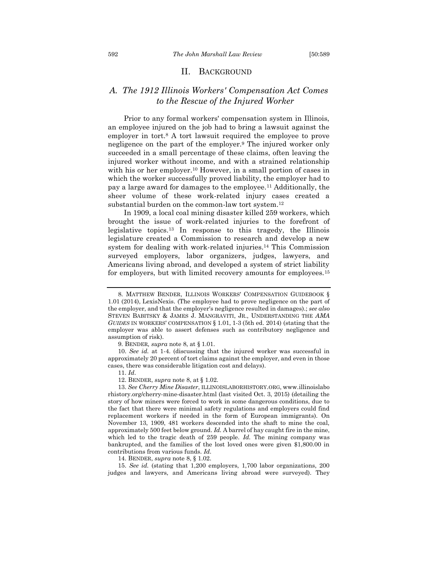#### II. BACKGROUND

## <span id="page-4-1"></span><span id="page-4-0"></span>*A. The 1912 Illinois Workers' Compensation Act Comes to the Rescue of the Injured Worker*

Prior to any formal workers' compensation system in Illinois, an employee injured on the job had to bring a lawsuit against the employer in tort.<sup>8</sup> A tort lawsuit required the employee to prove negligence on the part of the employer.<sup>9</sup> The injured worker only succeeded in a small percentage of these claims, often leaving the injured worker without income, and with a strained relationship with his or her employer.<sup>10</sup> However, in a small portion of cases in which the worker successfully proved liability, the employer had to pay a large award for damages to the employee.<sup>11</sup> Additionally, the sheer volume of these work-related injury cases created a substantial burden on the common-law tort system.<sup>12</sup>

In 1909, a local coal mining disaster killed 259 workers, which brought the issue of work-related injuries to the forefront of legislative topics.<sup>13</sup> In response to this tragedy, the Illinois legislature created a Commission to research and develop a new system for dealing with work-related injuries.<sup>14</sup> This Commission surveyed employers, labor organizers, judges, lawyers, and Americans living abroad, and developed a system of strict liability for employers, but with limited recovery amounts for employees.<sup>15</sup>

9. BENDER*, supra* note 8, at § 1.01.

10. *See id.* at 1-4. (discussing that the injured worker was successful in approximately 20 percent of tort claims against the employer, and even in those cases, there was considerable litigation cost and delays).

11. *Id*.

12. BENDER, *supra* note 8, at § 1.02.

13. *See Cherry Mine Disaster*, ILLINOISLABORHISTORY.ORG, www.illinoislabo rhistory.org/cherry-mine-disaster.html (last visited Oct. 3, 2015) (detailing the story of how miners were forced to work in some dangerous conditions, due to the fact that there were minimal safety regulations and employers could find replacement workers if needed in the form of European immigrants). On November 13, 1909, 481 workers descended into the shaft to mine the coal, approximately 500 feet below ground. *Id.* A barrel of hay caught fire in the mine, which led to the tragic death of 259 people. *Id.* The mining company was bankrupted, and the families of the lost loved ones were given \$1,800.00 in contributions from various funds. *Id.*

14. BENDER, *supra* note 8, § 1.02.

15. *See id.* (stating that 1,200 employers, 1,700 labor organizations, 200 judges and lawyers, and Americans living abroad were surveyed). They

<sup>8.</sup> MATTHEW BENDER, ILLINOIS WORKERS' COMPENSATION GUIDEBOOK § 1.01 (2014), LexisNexis. (The employee had to prove negligence on the part of the employer, and that the employer's negligence resulted in damages).; *see also* STEVEN BABITSKY & JAMES J. MANGRAVITI, JR., UNDERSTANDING THE *AMA GUIDES* IN WORKERS' COMPENSATION § 1.01, 1-3 (5th ed. 2014) (stating that the employer was able to assert defenses such as contributory negligence and assumption of risk).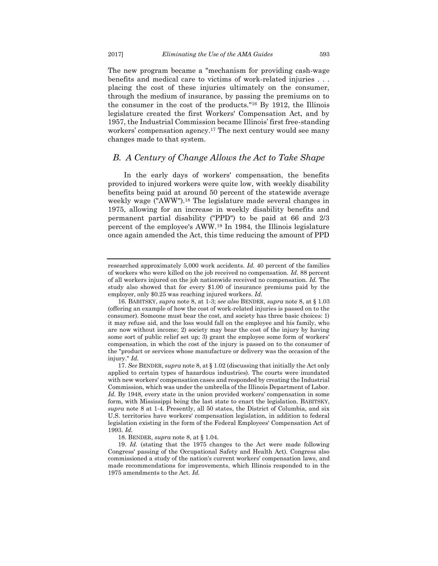The new program became a "mechanism for providing cash-wage benefits and medical care to victims of work-related injuries . . . placing the cost of these injuries ultimately on the consumer, through the medium of insurance, by passing the premiums on to the consumer in the cost of the products." <sup>16</sup> By 1912, the Illinois legislature created the first Workers' Compensation Act, and by 1957, the Industrial Commission became Illinois' first free-standing workers' compensation agency.<sup>17</sup> The next century would see many changes made to that system.

## <span id="page-5-0"></span>*B. A Century of Change Allows the Act to Take Shape*

In the early days of workers' compensation, the benefits provided to injured workers were quite low, with weekly disability benefits being paid at around 50 percent of the statewide average weekly wage ("AWW").<sup>18</sup> The legislature made several changes in 1975, allowing for an increase in weekly disability benefits and permanent partial disability ("PPD") to be paid at 66 and 2/3 percent of the employee's AWW.<sup>19</sup> In 1984, the Illinois legislature once again amended the Act, this time reducing the amount of PPD

researched approximately 5,000 work accidents. *Id.* 40 percent of the families of workers who were killed on the job received no compensation. *Id.* 88 percent of all workers injured on the job nationwide received no compensation. *Id.* The study also showed that for every \$1.00 of insurance premiums paid by the employer, only \$0.25 was reaching injured workers. *Id.* 

<sup>16.</sup> BABITSKY, *supra* note 8, at 1-3; *see also* BENDER, *supra* note 8, at § 1.03 (offering an example of how the cost of work-related injuries is passed on to the consumer). Someone must bear the cost, and society has three basic choices: 1) it may refuse aid, and the loss would fall on the employee and his family, who are now without income; 2) society may bear the cost of the injury by having some sort of public relief set up; 3) grant the employee some form of workers' compensation, in which the cost of the injury is passed on to the consumer of the "product or services whose manufacture or delivery was the occasion of the injury." *Id.*

<sup>17.</sup> *See* BENDER, *supra* note 8, at § 1.02 (discussing that initially the Act only applied to certain types of hazardous industries). The courts were inundated with new workers' compensation cases and responded by creating the Industrial Commission, which was under the umbrella of the Illinois Department of Labor. *Id.* By 1948, every state in the union provided workers' compensation in some form, with Mississippi being the last state to enact the legislation. BABITSKY, *supra* note 8 at 1-4. Presently, all 50 states, the District of Columbia, and six U.S. territories have workers' compensation legislation, in addition to federal legislation existing in the form of the Federal Employees' Compensation Act of 1993. *Id.*

<sup>18.</sup> BENDER, *supra* note 8, at § 1.04.

<sup>19.</sup> *Id.* (stating that the 1975 changes to the Act were made following Congress' passing of the Occupational Safety and Health Act). Congress also commissioned a study of the nation's current workers' compensation laws, and made recommendations for improvements, which Illinois responded to in the 1975 amendments to the Act. *Id.*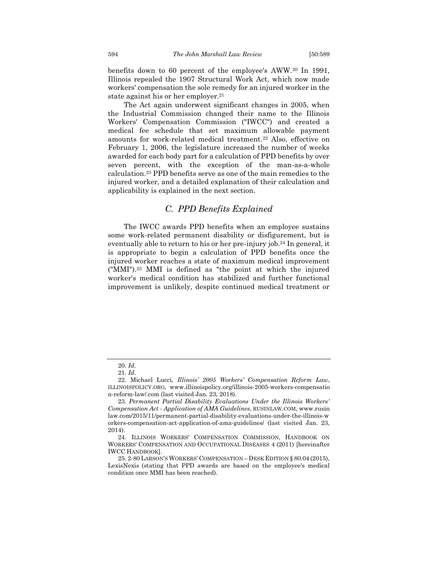benefits down to 60 percent of the employee's AWW.<sup>20</sup> In 1991, Illinois repealed the 1907 Structural Work Act, which now made workers' compensation the sole remedy for an injured worker in the state against his or her employer.<sup>21</sup>

The Act again underwent significant changes in 2005, when the Industrial Commission changed their name to the Illinois Workers' Compensation Commission ("IWCC") and created a medical fee schedule that set maximum allowable payment amounts for work-related medical treatment.<sup>22</sup> Also, effective on February 1, 2006, the legislature increased the number of weeks awarded for each body part for a calculation of PPD benefits by over seven percent, with the exception of the man-as-a-whole calculation.<sup>23</sup> PPD benefits serve as one of the main remedies to the injured worker, and a detailed explanation of their calculation and applicability is explained in the next section.

## *C. PPD Benefits Explained*

<span id="page-6-0"></span>The IWCC awards PPD benefits when an employee sustains some work-related permanent disability or disfigurement, but is eventually able to return to his or her pre-injury job.<sup>24</sup> In general, it is appropriate to begin a calculation of PPD benefits once the injured worker reaches a state of maximum medical improvement ("MMI").<sup>25</sup> MMI is defined as "the point at which the injured worker's medical condition has stabilized and further functional improvement is unlikely, despite continued medical treatment or

<sup>20.</sup> *Id.*

<sup>21.</sup> *Id.*

<sup>22.</sup> Michael Lucci, *Illinois' 2005 Workers' Compensation Reform Law*, ILLINOISPOLICY.ORG, www.illinoispolicy.org/illinois-2005-workers-compensatio n-reform-law/.com (last visited Jan. 23, 2018).

<sup>23.</sup> *Permanent Partial Disability Evaluations Under the Illinois Workers' Compensation Act - Application of AMA Guidelines*, RUSINLAW.COM, www.rusin law.com/2015/11/permanent-partial-disability-evaluations-under-the-illinois-w orkers-compensation-act-application-of-ama-guidelines/ (last visited Jan. 23, 2014).

<sup>24.</sup> ILLINOIS WORKERS' COMPENSATION COMMISSION, HANDBOOK ON WORKERS' COMPENSATION AND OCCUPATIONAL DISEASES 4 (2011) [hereinafter IWCC HANDBOOK].

<sup>25.</sup> 2-80 LARSON'S WORKERS' COMPENSATION – DESK EDITION § 80.04 (2015), LexisNexis (stating that PPD awards are based on the employee's medical condition once MMI has been reached).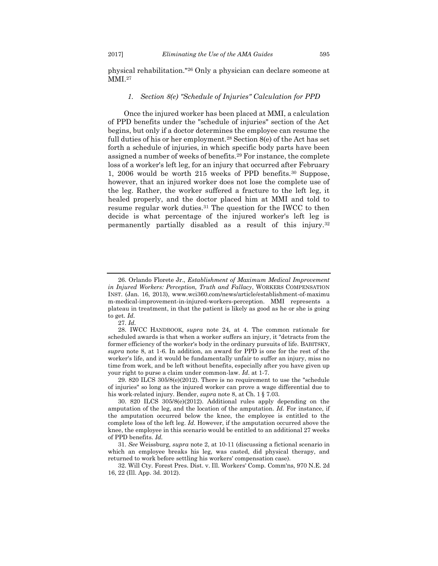<span id="page-7-0"></span>MMI.<sup>27</sup>

physical rehabilitation."<sup>26</sup> Only a physician can declare someone at

#### *1. Section 8(e) "Schedule of Injuries" Calculation for PPD*

Once the injured worker has been placed at MMI, a calculation of PPD benefits under the "schedule of injuries" section of the Act begins, but only if a doctor determines the employee can resume the full duties of his or her employment.<sup>28</sup> Section 8(e) of the Act has set forth a schedule of injuries, in which specific body parts have been assigned a number of weeks of benefits.<sup>29</sup> For instance, the complete loss of a worker's left leg, for an injury that occurred after February 1, 2006 would be worth 215 weeks of PPD benefits.<sup>30</sup> Suppose, however, that an injured worker does not lose the complete use of the leg. Rather, the worker suffered a fracture to the left leg, it healed properly, and the doctor placed him at MMI and told to resume regular work duties.<sup>31</sup> The question for the IWCC to then decide is what percentage of the injured worker's left leg is permanently partially disabled as a result of this injury.<sup>32</sup>

29. 820 ILCS 305/8(e)(2012). There is no requirement to use the "schedule of injuries" so long as the injured worker can prove a wage differential due to his work-related injury. Bender, *supra* note 8, at Ch. 1 § 7.03.

<sup>26.</sup> Orlando Florete Jr., *Establishment of Maximum Medical Improvement in Injured Workers: Perception, Truth and Fallacy*, WORKERS COMPENSATION INST. (Jan. 16, 2013), www.wci360.com/news/article/establishment-of-maximu m-medical-improvement-in-injured-workers-perception. MMI represents a plateau in treatment, in that the patient is likely as good as he or she is going to get. *Id.*

<sup>27.</sup> *Id.*

<sup>28.</sup> IWCC HANDBOOK, *supra* note 24, at 4. The common rationale for scheduled awards is that when a worker suffers an injury, it "detracts from the former efficiency of the worker's body in the ordinary pursuits of life. BABITSKY, *supra* note 8, at 1-6. In addition, an award for PPD is one for the rest of the worker's life, and it would be fundamentally unfair to suffer an injury, miss no time from work, and be left without benefits, especially after you have given up your right to purse a claim under common-law. *Id*. at 1-7.

<sup>30.</sup> 820 ILCS 305/8(e)(2012). Additional rules apply depending on the amputation of the leg, and the location of the amputation. *Id.* For instance, if the amputation occurred below the knee, the employee is entitled to the complete loss of the left leg. *Id.* However, if the amputation occurred above the knee, the employee in this scenario would be entitled to an additional 27 weeks of PPD benefits. *Id.*

<sup>31.</sup> *See* Weissburg*, supra* note 2, at 10-11 (discussing a fictional scenario in which an employee breaks his leg, was casted, did physical therapy, and returned to work before settling his workers' compensation case).

<sup>32.</sup> Will Cty. Forest Pres. Dist. v. Ill. Workers' Comp. Comm'ns*,* 970 N.E. 2d 16, 22 (Ill. App. 3d. 2012).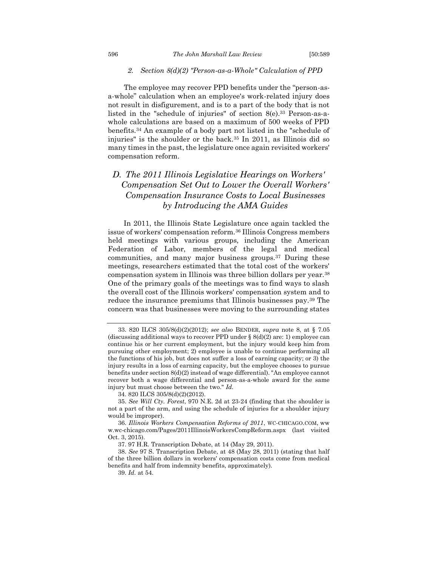#### *2. Section 8(d)(2) "Person-as-a-Whole" Calculation of PPD*

<span id="page-8-0"></span>The employee may recover PPD benefits under the "person-asa-whole" calculation when an employee's work-related injury does not result in disfigurement, and is to a part of the body that is not listed in the "schedule of injuries" of section 8(e).<sup>33</sup> Person-as-awhole calculations are based on a maximum of 500 weeks of PPD benefits.<sup>34</sup> An example of a body part not listed in the "schedule of injuries" is the shoulder or the back.<sup>35</sup> In 2011, as Illinois did so many times in the past, the legislature once again revisited workers' compensation reform.

## <span id="page-8-1"></span>*D. The 2011 Illinois Legislative Hearings on Workers' Compensation Set Out to Lower the Overall Workers' Compensation Insurance Costs to Local Businesses by Introducing the AMA Guides*

In 2011, the Illinois State Legislature once again tackled the issue of workers' compensation reform.<sup>36</sup> Illinois Congress members held meetings with various groups, including the American Federation of Labor, members of the legal and medical communities, and many major business groups.<sup>37</sup> During these meetings, researchers estimated that the total cost of the workers' compensation system in Illinois was three billion dollars per year.<sup>38</sup> One of the primary goals of the meetings was to find ways to slash the overall cost of the Illinois workers' compensation system and to reduce the insurance premiums that Illinois businesses pay.<sup>39</sup> The concern was that businesses were moving to the surrounding states

<sup>33.</sup> 820 ILCS 305/8(d)(2)(2012); *see also* BENDER, *supra* note 8, at § 7.05 (discussing additional ways to recover PPD under  $\S 8(d)(2)$  are: 1) employee can continue his or her current employment, but the injury would keep him from pursuing other employment; 2) employee is unable to continue performing all the functions of his job, but does not suffer a loss of earning capacity; or 3) the injury results in a loss of earning capacity, but the employee chooses to pursue benefits under section 8(d)(2) instead of wage differential). "An employee cannot recover both a wage differential and person-as-a-whole award for the same injury but must choose between the two." *Id.* 

<sup>34.</sup> 820 ILCS 305/8(d)(2)(2012).

<sup>35.</sup> *See Will Cty. Forest*, 970 N.E. 2d at 23-24 (finding that the shoulder is not a part of the arm, and using the schedule of injuries for a shoulder injury would be improper).

<sup>36.</sup> *Illinois Workers Compensation Reforms of 2011*, WC-CHICAGO.COM, ww w.wc-chicago.com/Pages/2011IllinoisWorkersCompReform.aspx (last visited Oct. 3, 2015).

<sup>37.</sup> 97 H.R. Transcription Debate, at 14 (May 29, 2011).

<sup>38.</sup> *See* 97 S. Transcription Debate, at 48 (May 28, 2011) (stating that half of the three billion dollars in workers' compensation costs come from medical benefits and half from indemnity benefits, approximately)*.*

<sup>39.</sup> *Id.* at 54.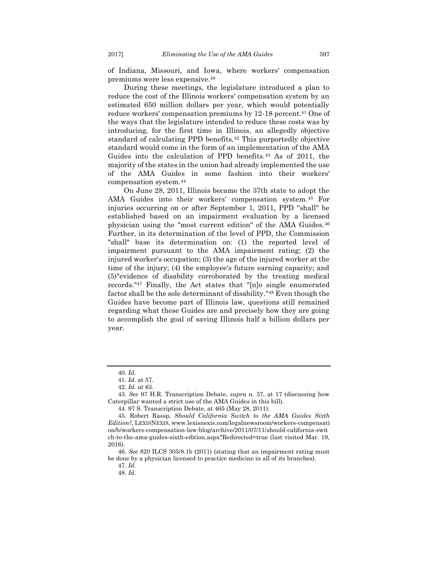of Indiana, Missouri, and Iowa, where workers' compensation premiums were less expensive.<sup>40</sup>

During these meetings, the legislature introduced a plan to reduce the cost of the Illinois workers' compensation system by an estimated 650 million dollars per year, which would potentially reduce workers' compensation premiums by 12-18 percent.<sup>41</sup> One of the ways that the legislature intended to reduce these costs was by introducing, for the first time in Illinois, an allegedly objective standard of calculating PPD benefits.<sup>42</sup> This purportedly objective standard would come in the form of an implementation of the AMA Guides into the calculation of PPD benefits.<sup>43</sup> As of 2011, the majority of the states in the union had already implemented the use of the AMA Guides in some fashion into their workers' compensation system.<sup>44</sup>

On June 28, 2011, Illinois became the 37th state to adopt the AMA Guides into their workers' compensation system.<sup>45</sup> For injuries occurring on or after September 1, 2011, PPD "shall" be established based on an impairment evaluation by a licensed physician using the "most current edition" of the AMA Guides.<sup>46</sup> Further, in its determination of the level of PPD, the Commission "shall" base its determination on: (1) the reported level of impairment pursuant to the AMA impairment rating; (2) the injured worker's occupation; (3) the age of the injured worker at the time of the injury; (4) the employee's future earning capacity; and (5)"evidence of disability corroborated by the treating medical records."<sup>47</sup> Finally, the Act states that "[n]o single enumerated factor shall be the sole determinant of disability."<sup>48</sup> Even though the Guides have become part of Illinois law, questions still remained regarding what these Guides are and precisely how they are going to accomplish the goal of saving Illinois half a billion dollars per year.

<sup>40.</sup> *Id.*

<sup>41.</sup> *Id.* at 57.

<sup>42.</sup> *Id. at 65.*

<sup>43.</sup> *See* 97 H.R. Transcription Debate, *supra* n. 37, at 17 (discussing how Caterpillar wanted a strict use of the AMA Guides in this bill).

<sup>44.</sup> 97 S. Transcription Debate, at 465 (May 28, 2011).

<sup>45.</sup> Robert Rassp, *Should California Switch to the AMA Guides Sixth Edition?*, LEXISNEXIS, www.lexisnexis.com/legalnewsroom/workers-compensati on/b/workers-compensation-law-blog/archive/2011/07/11/should-california-swit ch-to-the-ama-guides-sixth-edition.aspx?Redirected=true (last visited Mar. 19, 2016).

<sup>46.</sup> *See* 820 ILCS 305/8.1b (2011) (stating that an impairment rating must be done by a physician licensed to practice medicine in all of its branches).

<sup>47.</sup> *Id.*

<sup>48.</sup> *Id.*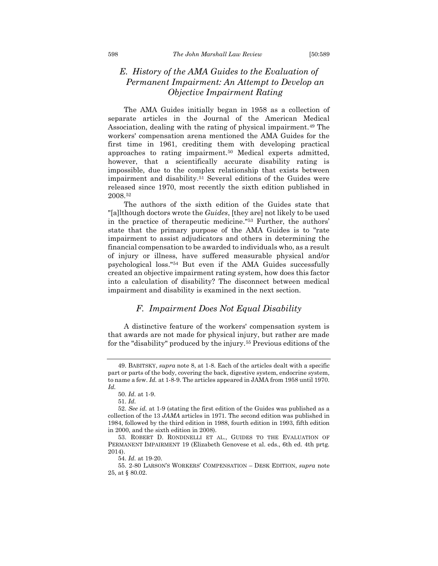## <span id="page-10-0"></span>*E. History of the AMA Guides to the Evaluation of Permanent Impairment: An Attempt to Develop an Objective Impairment Rating*

The AMA Guides initially began in 1958 as a collection of separate articles in the Journal of the American Medical Association, dealing with the rating of physical impairment.<sup>49</sup> The workers' compensation arena mentioned the AMA Guides for the first time in 1961, crediting them with developing practical approaches to rating impairment.<sup>50</sup> Medical experts admitted, however, that a scientifically accurate disability rating is impossible, due to the complex relationship that exists between impairment and disability.<sup>51</sup> Several editions of the Guides were released since 1970, most recently the sixth edition published in 2008.<sup>52</sup>

The authors of the sixth edition of the Guides state that "[a]lthough doctors wrote the *Guides*, [they are] not likely to be used in the practice of therapeutic medicine."<sup>53</sup> Further, the authors' state that the primary purpose of the AMA Guides is to "rate impairment to assist adjudicators and others in determining the financial compensation to be awarded to individuals who, as a result of injury or illness, have suffered measurable physical and/or psychological loss."<sup>54</sup> But even if the AMA Guides successfully created an objective impairment rating system, how does this factor into a calculation of disability? The disconnect between medical impairment and disability is examined in the next section.

## *F. Impairment Does Not Equal Disability*

<span id="page-10-1"></span>A distinctive feature of the workers' compensation system is that awards are not made for physical injury, but rather are made for the "disability" produced by the injury.<sup>55</sup> Previous editions of the

<sup>49.</sup> BABITSKY, *supra* note 8, at 1-8. Each of the articles dealt with a specific part or parts of the body, covering the back, digestive system, endocrine system, to name a few. *Id.* at 1-8-9. The articles appeared in JAMA from 1958 until 1970. *Id.*

<sup>50.</sup> *Id.* at 1-9.

<sup>51.</sup> *Id.*

<sup>52.</sup> *See id.* at 1-9 (stating the first edition of the Guides was published as a collection of the 13 *JAMA* articles in 1971. The second edition was published in 1984, followed by the third edition in 1988, fourth edition in 1993, fifth edition in 2000, and the sixth edition in 2008).

<sup>53.</sup> ROBERT D. RONDINELLI ET AL., GUIDES TO THE EVALUATION OF PERMANENT IMPAIRMENT 19 (Elizabeth Genovese et al. eds., 6th ed. 4th prtg. 2014).

<sup>54.</sup> *Id.* at 19-20.

<sup>55.</sup> 2-80 LARSON'S WORKERS' COMPENSATION – DESK EDITION, *supra* note 25, at § 80.02.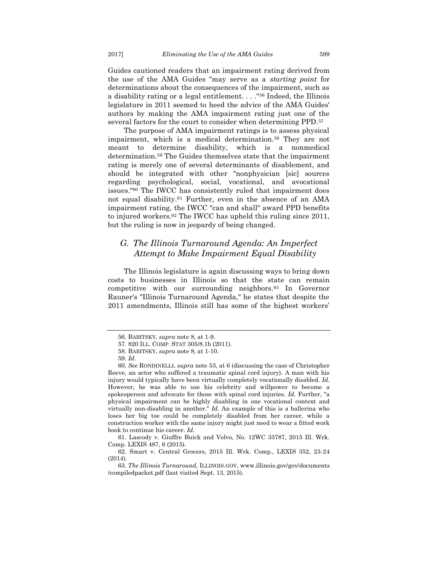2017] *Eliminating the Use of the AMA Guides* 599

Guides cautioned readers that an impairment rating derived from the use of the AMA Guides "may serve as a *starting point* for determinations about the consequences of the impairment, such as a disability rating or a legal entitlement. . . ."<sup>56</sup> Indeed, the Illinois legislature in 2011 seemed to heed the advice of the AMA Guides' authors by making the AMA impairment rating just one of the several factors for the court to consider when determining PPD.<sup>57</sup>

The purpose of AMA impairment ratings is to assess physical impairment, which is a medical determination.<sup>58</sup> They are not meant to determine disability, which is a nonmedical determination.<sup>59</sup> The Guides themselves state that the impairment rating is merely one of several determinants of disablement, and should be integrated with other "nonphysician [sic] sources regarding psychological, social, vocational, and avocational issues."<sup>60</sup> The IWCC has consistently ruled that impairment does not equal disability.<sup>61</sup> Further, even in the absence of an AMA impairment rating, the IWCC "can and shall" award PPD benefits to injured workers.<sup>62</sup> The IWCC has upheld this ruling since 2011, but the ruling is now in jeopardy of being changed.

## <span id="page-11-0"></span>*G. The Illinois Turnaround Agenda: An Imperfect Attempt to Make Impairment Equal Disability*

The Illinois legislature is again discussing ways to bring down costs to businesses in Illinois so that the state can remain competitive with our surrounding neighbors.<sup>63</sup> In Governor Rauner's "Illinois Turnaround Agenda," he states that despite the 2011 amendments, Illinois still has some of the highest workers'

<sup>56.</sup> BABITSKY, *supra* note 8, at 1-9.

<sup>57.</sup> 820 ILL. COMP. STAT 305/8.1b (2011).

<sup>58.</sup> BABITSKY, *supra* note 8, at 1-10.

<sup>59.</sup> *Id.*

<sup>60.</sup> *See* RONDINELLI, *supra* note 53, at 6 (discussing the case of Christopher Reeve, an actor who suffered a traumatic spinal cord injury). A man with his injury would typically have been virtually completely vocationally disabled. *Id.* However, he was able to use his celebrity and willpower to become a spokesperson and advocate for those with spinal cord injuries. *Id.* Further, "a physical impairment can be highly disabling in one vocational context and virtually non-disabling in another." *Id.* An example of this is a ballerina who loses her big toe could be completely disabled from her career, while a construction worker with the same injury might just need to wear a fitted work book to continue his career. *Id.*

<sup>61.</sup> Lascody v. Giuffre Buick and Volvo, No. 12WC 33787, 2015 Ill. Wrk. Comp. LEXIS 487, 6 (2015).

<sup>62.</sup> Smart v. Central Grocers, 2015 Ill. Wrk. Comp., LEXIS 352, 23-24 (2014).

<sup>63.</sup> *The Illinois Turnaround,* ILLINOIS.GOV, www.illinois.gov/gov/documents /compiledpacket.pdf (last visited Sept. 13, 2015).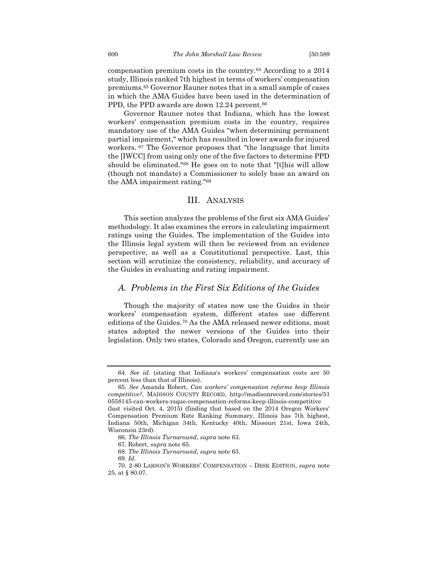compensation premium costs in the country.<sup>64</sup> According to a 2014 study, Illinois ranked 7th highest in terms of workers' compensation premiums.<sup>65</sup> Governor Rauner notes that in a small sample of cases in which the AMA Guides have been used in the determination of PPD, the PPD awards are down 12.24 percent.<sup>66</sup>

Governor Rauner notes that Indiana, which has the lowest workers' compensation premium costs in the country, requires mandatory use of the AMA Guides "when determining permanent partial impairment," which has resulted in lower awards for injured workers. <sup>67</sup> The Governor proposes that "the language that limits the [IWCC] from using only one of the five factors to determine PPD should be eliminated."<sup>68</sup> He goes on to note that "[t]his will allow (though not mandate) a Commissioner to solely base an award on the AMA impairment rating."<sup>69</sup>

#### III. ANALYSIS

<span id="page-12-0"></span>This section analyzes the problems of the first six AMA Guides' methodology. It also examines the errors in calculating impairment ratings using the Guides. The implementation of the Guides into the Illinois legal system will then be reviewed from an evidence perspective, as well as a Constitutional perspective. Last, this section will scrutinize the consistency, reliability, and accuracy of the Guides in evaluating and rating impairment.

## <span id="page-12-1"></span>*A. Problems in the First Six Editions of the Guides*

Though the majority of states now use the Guides in their workers' compensation system, different states use different editions of the Guides.<sup>70</sup> As the AMA released newer editions, most states adopted the newer versions of the Guides into their legislation. Only two states, Colorado and Oregon, currently use an

<sup>64.</sup> *See id.* (stating that Indiana's workers' compensation costs are 50 percent less than that of Illinois).

<sup>65.</sup> *See* Amanda Robert, *Can workers' compensation reforms keep Illinois competitive?*, MADISON COUNTY RECORD, http://madisonrecord.com/stories/51 0558145-can-workers-rsquo-compensation-reforms-keep-illinois-competitive (last visited Oct. 4, 2015) (finding that based on the 2014 Oregon Workers' Compensation Premium Rate Ranking Summary, Illinois has 7th highest, Indiana 50th, Michigan 34th, Kentucky 40th, Missouri 21st, Iowa 24th, Wisconsin 23rd).

<sup>66.</sup> *The Illinois Turnaround*, *supra* note 63.

<sup>67.</sup> Robert, *supra* note 65.

<sup>68.</sup> *The Illinois Turnaround*, *supra* note 63.

<sup>69.</sup> *Id.*

<sup>70.</sup> 2-80 LARSON'S WORKERS' COMPENSATION – DESK EDITION, *supra* note 25, at § 80.07.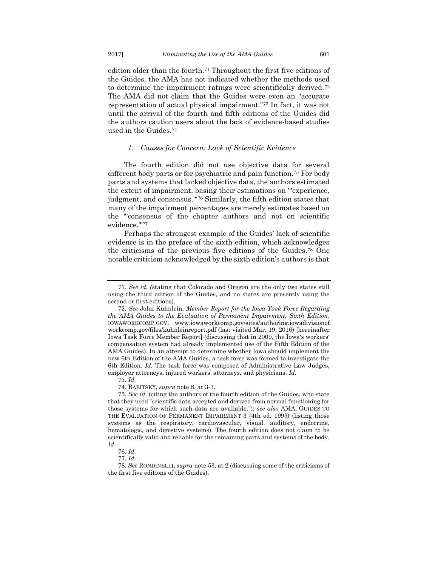edition older than the fourth.<sup>71</sup> Throughout the first five editions of the Guides, the AMA has not indicated whether the methods used to determine the impairment ratings were scientifically derived.<sup>72</sup> The AMA did not claim that the Guides were even an "accurate representation of actual physical impairment."<sup>73</sup> In fact, it was not until the arrival of the fourth and fifth editions of the Guides did the authors caution users about the lack of evidence-based studies used in the Guides.<sup>74</sup>

#### *1. Causes for Concern: Lack of Scientific Evidence*

<span id="page-13-0"></span>The fourth edition did not use objective data for several different body parts or for psychiatric and pain function.<sup>75</sup> For body parts and systems that lacked objective data, the authors estimated the extent of impairment, basing their estimations on "'experience, judgment, and consensus.'"<sup>76</sup> Similarly, the fifth edition states that many of the impairment percentages are merely estimates based on the "'consensus of the chapter authors and not on scientific evidence.'"<sup>77</sup>

Perhaps the strongest example of the Guides' lack of scientific evidence is in the preface of the sixth edition, which acknowledges the criticisms of the previous five editions of the Guides.<sup>78</sup> One notable criticism acknowledged by the sixth edition's authors is that

73. *Id.*

74. BABITSKY, *supra* note 8, at 3-3.

<sup>71.</sup> *See id. (*stating that Colorado and Oregon are the only two states still using the third edition of the Guides, and no states are presently using the second or first editions).

<sup>72.</sup> *See* John Kuhnlein, *Member Report for the Iowa Task Force Regarding the AMA Guides to the Evaluation of Permanent Impairment, Sixth Edition*, IOWAWORKCOMP.GOV, www.iowaworkcomp.gov/sites/authoring.iowadivisionof workcomp.gov/files/kuhnleinreport.pdf (last visited Mar. 19, 2016) [hereinafter Iowa Task Force Member Report] (discussing that in 2009, the Iowa's workers' compensation system had already implemented use of the Fifth Edition of the AMA Guides). In an attempt to determine whether Iowa should implement the new 6th Edition of the AMA Guides, a task force was formed to investigate the 6th Edition. *Id.* The task force was composed of Administrative Law Judges, employer attorneys, injured workers' attorneys, and physicians. *Id.* 

<sup>75.</sup> *See id.* (citing the authors of the fourth edition of the Guides, who state that they used "scientific data accepted and derived from normal functioning for those systems for which such data are available."); *see also* AMA, GUIDES TO THE EVALUATION OF PERMANENT IMPAIRMENT 3 (4th ed. 1993) (listing those systems as the respiratory, cardiovascular, visual, auditory, endocrine, hematologic, and digestive systems). The fourth edition does not claim to be scientifically valid and reliable for the remaining parts and systems of the body. *Id.* 

<sup>76.</sup> *Id.*

<sup>77.</sup> *Id.*

<sup>78.</sup> *See* RONDINELLI, *supra* note 53, at 2 (discussing some of the criticisms of the first five editions of the Guides).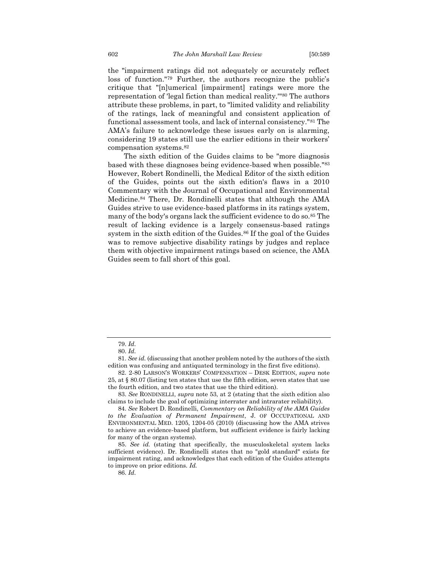the "impairment ratings did not adequately or accurately reflect loss of function."<sup>79</sup> Further, the authors recognize the public's critique that "[n]umerical [impairment] ratings were more the representation of 'legal fiction than medical reality.'"<sup>80</sup> The authors attribute these problems, in part, to "limited validity and reliability of the ratings, lack of meaningful and consistent application of functional assessment tools, and lack of internal consistency."<sup>81</sup> The AMA's failure to acknowledge these issues early on is alarming, considering 19 states still use the earlier editions in their workers' compensation systems.<sup>82</sup>

The sixth edition of the Guides claims to be "more diagnosis based with these diagnoses being evidence-based when possible."<sup>83</sup> However, Robert Rondinelli, the Medical Editor of the sixth edition of the Guides, points out the sixth edition's flaws in a 2010 Commentary with the Journal of Occupational and Environmental Medicine.<sup>84</sup> There, Dr. Rondinelli states that although the AMA Guides strive to use evidence-based platforms in its ratings system, many of the body's organs lack the sufficient evidence to do so.<sup>85</sup> The result of lacking evidence is a largely consensus-based ratings system in the sixth edition of the Guides.<sup>86</sup> If the goal of the Guides was to remove subjective disability ratings by judges and replace them with objective impairment ratings based on science, the AMA Guides seem to fall short of this goal.

86. *Id.*

<sup>79.</sup> *Id.*

<sup>80.</sup> *Id.*

<sup>81.</sup> *See id.* (discussing that another problem noted by the authors of the sixth edition was confusing and antiquated terminology in the first five editions).

<sup>82.</sup> 2-80 LARSON'S WORKERS' COMPENSATION – DESK EDITION, *supra* note 25, at § 80.07 (listing ten states that use the fifth edition, seven states that use the fourth edition, and two states that use the third edition).

<sup>83.</sup> *See* RONDINELLI, *supra* note 53, at 2 (stating that the sixth edition also claims to include the goal of optimizing interrater and intrarater reliability).

<sup>84.</sup> *See* Robert D. Rondinelli, *Commentary on Reliability of the AMA Guides to the Evaluation of Permanent Impairment*, J. OF OCCUPATIONAL AND ENVIRONMENTAL MED. 1205, 1204-05 (2010) (discussing how the AMA strives to achieve an evidence-based platform, but sufficient evidence is fairly lacking for many of the organ systems).

<sup>85.</sup> *See id.* (stating that specifically, the musculoskeletal system lacks sufficient evidence). Dr. Rondinelli states that no "gold standard" exists for impairment rating, and acknowledges that each edition of the Guides attempts to improve on prior editions. *Id.*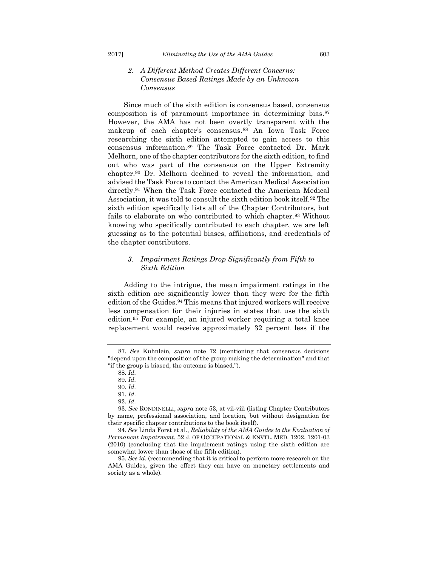#### *2. A Different Method Creates Different Concerns: Consensus Based Ratings Made by an Unknown Consensus*

Since much of the sixth edition is consensus based, consensus composition is of paramount importance in determining bias.<sup>87</sup> However, the AMA has not been overtly transparent with the makeup of each chapter's consensus.<sup>88</sup> An Iowa Task Force researching the sixth edition attempted to gain access to this consensus information.<sup>89</sup> The Task Force contacted Dr. Mark Melhorn, one of the chapter contributors for the sixth edition, to find out who was part of the consensus on the Upper Extremity chapter.<sup>90</sup> Dr. Melhorn declined to reveal the information, and advised the Task Force to contact the American Medical Association directly.<sup>91</sup> When the Task Force contacted the American Medical Association, it was told to consult the sixth edition book itself.<sup>92</sup> The sixth edition specifically lists all of the Chapter Contributors, but fails to elaborate on who contributed to which chapter.<sup>93</sup> Without knowing who specifically contributed to each chapter, we are left guessing as to the potential biases, affiliations, and credentials of the chapter contributors.

#### <span id="page-15-1"></span>*3. Impairment Ratings Drop Significantly from Fifth to Sixth Edition*

Adding to the intrigue, the mean impairment ratings in the sixth edition are significantly lower than they were for the fifth edition of the Guides.<sup>94</sup> This means that injured workers will receive less compensation for their injuries in states that use the sixth edition.<sup>95</sup> For example, an injured worker requiring a total knee replacement would receive approximately 32 percent less if the

92. *Id.*

<span id="page-15-0"></span>

<sup>87.</sup> *See* Kuhnlein*, supra* note 72 (mentioning that consensus decisions "depend upon the composition of the group making the determination" and that "if the group is biased, the outcome is biased.").

<sup>88.</sup> *Id.*

<sup>89.</sup> *Id.*

<sup>90.</sup> *Id.*

<sup>91.</sup> *Id.*

<sup>93.</sup> *See* RONDINELLI, *supra* note 53, at vii-viii (listing Chapter Contributors by name, professional association, and location, but without designation for their specific chapter contributions to the book itself).

<sup>94.</sup> *See* Linda Forst et al., *Reliability of the AMA Guides to the Evaluation of Permanent Impairment*, 52 J. OF OCCUPATIONAL & ENVTL. MED. 1202, 1201-03 (2010) (concluding that the impairment ratings using the sixth edition are somewhat lower than those of the fifth edition).

<sup>95.</sup> *See id.* (recommending that it is critical to perform more research on the AMA Guides, given the effect they can have on monetary settlements and society as a whole).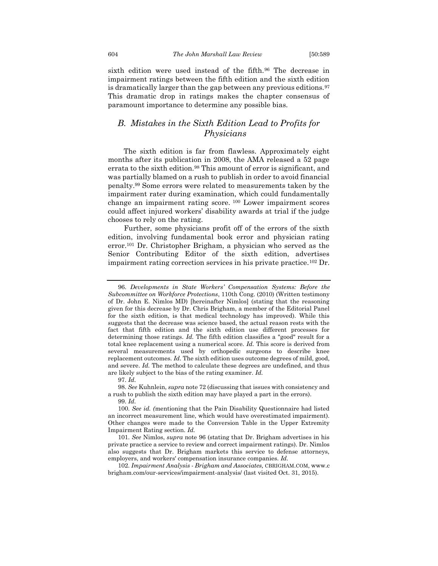sixth edition were used instead of the fifth.<sup>96</sup> The decrease in impairment ratings between the fifth edition and the sixth edition is dramatically larger than the gap between any previous editions.<sup>97</sup> This dramatic drop in ratings makes the chapter consensus of paramount importance to determine any possible bias.

## <span id="page-16-0"></span>*B. Mistakes in the Sixth Edition Lead to Profits for Physicians*

The sixth edition is far from flawless. Approximately eight months after its publication in 2008, the AMA released a 52 page errata to the sixth edition.<sup>98</sup> This amount of error is significant, and was partially blamed on a rush to publish in order to avoid financial penalty.<sup>99</sup> Some errors were related to measurements taken by the impairment rater during examination, which could fundamentally change an impairment rating score. <sup>100</sup> Lower impairment scores could affect injured workers' disability awards at trial if the judge chooses to rely on the rating.

Further, some physicians profit off of the errors of the sixth edition, involving fundamental book error and physician rating error.<sup>101</sup> Dr. Christopher Brigham, a physician who served as the Senior Contributing Editor of the sixth edition, advertises impairment rating correction services in his private practice.<sup>102</sup> Dr.

99. *Id.*

<sup>96.</sup> *Developments in State Workers' Compensation Systems: Before the Subcommittee on Workforce Protections*, 110th Cong. (2010) (Written testimony of Dr. John E. Nimlos MD) [hereinafter Nimlos] (stating that the reasoning given for this decrease by Dr. Chris Brigham, a member of the Editorial Panel for the sixth edition, is that medical technology has improved). While this suggests that the decrease was science based, the actual reason rests with the fact that fifth edition and the sixth edition use different processes for determining those ratings. *Id.* The fifth edition classifies a "good" result for a total knee replacement using a numerical score. *Id.* This score is derived from several measurements used by orthopedic surgeons to describe knee replacement outcomes. *Id.* The sixth edition uses outcome degrees of mild, good, and severe. *Id.* The method to calculate these degrees are undefined, and thus are likely subject to the bias of the rating examiner. *Id.*

<sup>97.</sup> *Id.*

<sup>98.</sup> *See* Kuhnlein, *supra* note 72 (discussing that issues with consistency and a rush to publish the sixth edition may have played a part in the errors).

<sup>100.</sup> *See id. (*mentioning that the Pain Disability Questionnaire had listed an incorrect measurement line, which would have overestimated impairment). Other changes were made to the Conversion Table in the Upper Extremity Impairment Rating section. *Id.*

<sup>101.</sup> *See* Nimlos, *supra* note 96 (stating that Dr. Brigham advertises in his private practice a service to review and correct impairment ratings). Dr. Nimlos also suggests that Dr. Brigham markets this service to defense attorneys, employers, and workers' compensation insurance companies. *Id.*

<sup>102.</sup> *Impairment Analysis - Brigham and Associates,* CBRIGHAM.COM, www.c brigham.com/our-services/impairment-analysis/ (last visited Oct. 31, 2015).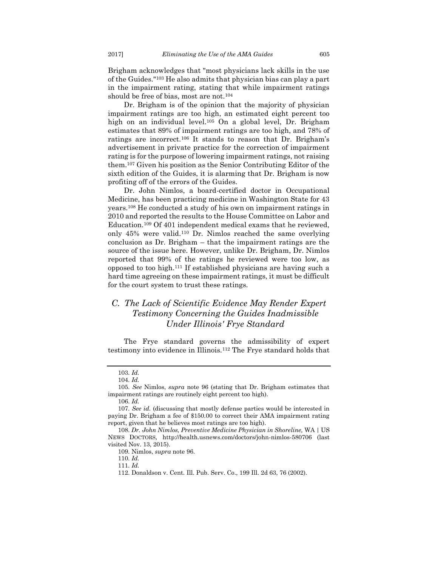Brigham acknowledges that "most physicians lack skills in the use of the Guides."<sup>103</sup> He also admits that physician bias can play a part in the impairment rating, stating that while impairment ratings should be free of bias, most are not.<sup>104</sup>

Dr. Brigham is of the opinion that the majority of physician impairment ratings are too high, an estimated eight percent too high on an individual level.<sup>105</sup> On a global level, Dr. Brigham estimates that 89% of impairment ratings are too high, and 78% of ratings are incorrect.<sup>106</sup> It stands to reason that Dr. Brigham's advertisement in private practice for the correction of impairment rating is for the purpose of lowering impairment ratings, not raising them.<sup>107</sup> Given his position as the Senior Contributing Editor of the sixth edition of the Guides, it is alarming that Dr. Brigham is now profiting off of the errors of the Guides.

Dr. John Nimlos, a board-certified doctor in Occupational Medicine, has been practicing medicine in Washington State for 43 years.<sup>108</sup> He conducted a study of his own on impairment ratings in 2010 and reported the results to the House Committee on Labor and Education.<sup>109</sup> Of 401 independent medical exams that he reviewed, only 45% were valid.<sup>110</sup> Dr. Nimlos reached the same overlying conclusion as Dr. Brigham – that the impairment ratings are the source of the issue here. However, unlike Dr. Brigham, Dr. Nimlos reported that 99% of the ratings he reviewed were too low, as opposed to too high.<sup>111</sup> If established physicians are having such a hard time agreeing on these impairment ratings, it must be difficult for the court system to trust these ratings.

## <span id="page-17-0"></span>*C. The Lack of Scientific Evidence May Render Expert Testimony Concerning the Guides Inadmissible Under Illinois' Frye Standard*

The Frye standard governs the admissibility of expert testimony into evidence in Illinois.<sup>112</sup> The Frye standard holds that

<sup>103.</sup> *Id.*

<sup>104.</sup> *Id.*

<sup>105.</sup> *See* Nimlos, *supra* note 96 (stating that Dr. Brigham estimates that impairment ratings are routinely eight percent too high).

<sup>106.</sup> *Id.*

<sup>107.</sup> *See id.* (discussing that mostly defense parties would be interested in paying Dr. Brigham a fee of \$150.00 to correct their AMA impairment rating report, given that he believes most ratings are too high).

<sup>108.</sup> *Dr. John Nimlos, Preventive Medicine Physician in Shoreline,* WA | US NEWS DOCTORS*,* http://health.usnews.com/doctors/john-nimlos-580706 (last visited Nov. 13, 2015).

<sup>109.</sup> Nimlos, *supra* note 96.

<sup>110.</sup> *Id.*

<sup>111.</sup> *Id.*

<sup>112.</sup> Donaldson v. Cent. Ill. Pub. Serv. Co., 199 Ill. 2d 63, 76 (2002).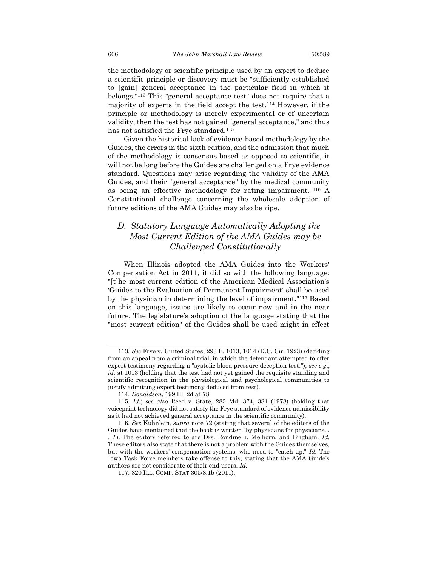the methodology or scientific principle used by an expert to deduce a scientific principle or discovery must be "sufficiently established to [gain] general acceptance in the particular field in which it belongs."<sup>113</sup> This "general acceptance test" does not require that a majority of experts in the field accept the test.<sup>114</sup> However, if the principle or methodology is merely experimental or of uncertain validity, then the test has not gained "general acceptance," and thus has not satisfied the Frye standard.<sup>115</sup>

Given the historical lack of evidence-based methodology by the Guides, the errors in the sixth edition, and the admission that much of the methodology is consensus-based as opposed to scientific, it will not be long before the Guides are challenged on a Frye evidence standard. Questions may arise regarding the validity of the AMA Guides, and their "general acceptance" by the medical community as being an effective methodology for rating impairment. <sup>116</sup> A Constitutional challenge concerning the wholesale adoption of future editions of the AMA Guides may also be ripe.

## <span id="page-18-0"></span>*D. Statutory Language Automatically Adopting the Most Current Edition of the AMA Guides may be Challenged Constitutionally*

When Illinois adopted the AMA Guides into the Workers' Compensation Act in 2011, it did so with the following language: "[t]he most current edition of the American Medical Association's 'Guides to the Evaluation of Permanent Impairment' shall be used by the physician in determining the level of impairment."<sup>117</sup> Based on this language, issues are likely to occur now and in the near future. The legislature's adoption of the language stating that the "most current edition" of the Guides shall be used might in effect

<sup>113.</sup> *See* Frye v. United States, 293 F. 1013, 1014 (D.C. Cir. 1923) (deciding from an appeal from a criminal trial, in which the defendant attempted to offer expert testimony regarding a "systolic blood pressure deception test."); *see e.g*., *id.* at 1013 (holding that the test had not yet gained the requisite standing and scientific recognition in the physiological and psychological communities to justify admitting expert testimony deduced from test).

<sup>114.</sup> *Donaldson*, 199 Ill. 2d at 78.

<sup>115.</sup> *Id.*; *see also* Reed v. State, 283 Md. 374, 381 (1978) (holding that voiceprint technology did not satisfy the Frye standard of evidence admissibility as it had not achieved general acceptance in the scientific community).

<sup>116.</sup> *See* Kuhnlein*, supra* note 72 (stating that several of the editors of the Guides have mentioned that the book is written "by physicians for physicians... . ."). The editors referred to are Drs. Rondinelli, Melhorn, and Brigham. *Id.*  These editors also state that there is not a problem with the Guides themselves, but with the workers' compensation systems, who need to "catch up." *Id.* The Iowa Task Force members take offense to this, stating that the AMA Guide's authors are not considerate of their end users. *Id.*

<sup>117.</sup> 820 ILL. COMP. STAT 305/8.1b (2011).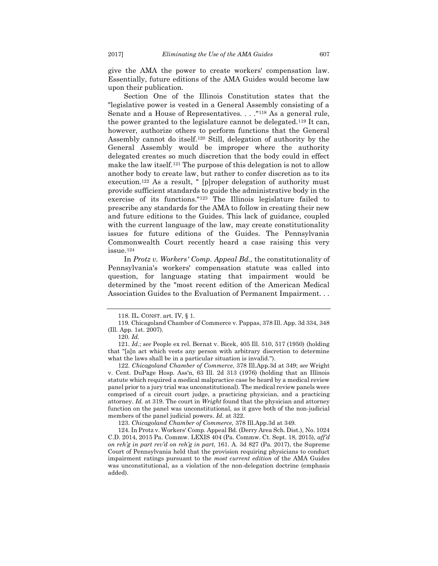give the AMA the power to create workers' compensation law. Essentially, future editions of the AMA Guides would become law upon their publication.

Section One of the Illinois Constitution states that the "legislative power is vested in a General Assembly consisting of a Senate and a House of Representatives. . . ."<sup>118</sup> As a general rule, the power granted to the legislature cannot be delegated.<sup>119</sup> It can, however, authorize others to perform functions that the General Assembly cannot do itself.<sup>120</sup> Still, delegation of authority by the General Assembly would be improper where the authority delegated creates so much discretion that the body could in effect make the law itself.<sup>121</sup> The purpose of this delegation is not to allow another body to create law, but rather to confer discretion as to its execution.<sup>122</sup> As a result, " [p]roper delegation of authority must provide sufficient standards to guide the administrative body in the exercise of its functions."<sup>123</sup> The Illinois legislature failed to prescribe any standards for the AMA to follow in creating their new and future editions to the Guides. This lack of guidance, coupled with the current language of the law, may create constitutionality issues for future editions of the Guides. The Pennsylvania Commonwealth Court recently heard a case raising this very issue.<sup>124</sup>

In *Protz v. Workers' Comp. Appeal Bd.,* the constitutionality of Pennsylvania's workers' compensation statute was called into question, for language stating that impairment would be determined by the "most recent edition of the American Medical Association Guides to the Evaluation of Permanent Impairment. . .

122. *Chicagoland Chamber of Commerce*, 378 Ill.App.3d at 349; *see* Wright v. Cent. DuPage Hosp. Ass'n, 63 Ill. 2d 313 (1976) (holding that an Illinois statute which required a medical malpractice case be heard by a medical review panel prior to a jury trial was unconstitutional). The medical review panels were comprised of a circuit court judge, a practicing physician, and a practicing attorney. *Id.* at 319. The court in *Wright* found that the physician and attorney function on the panel was unconstitutional, as it gave both of the non-judicial members of the panel judicial powers. *Id.* at 322.

123. *Chicagoland Chamber of Commerce,* 378 Ill.App.3d at 349.

124. In Protz v. Workers' Comp. Appeal Bd. (Derry Area Sch. Dist.)*,* No. 1024 C.D. 2014, 2015 Pa. Commw. LEXIS 404 (Pa. Commw. Ct. Sept. 18, 2015), *aff'd on reh'g in part rev'd on reh'g in part,* 161. A. 3d 827 (Pa. 2017), the Supreme Court of Pennsylvania held that the provision requiring physicians to conduct impairment ratings pursuant to the *most current edition* of the AMA Guides was unconstitutional, as a violation of the non-delegation doctrine (emphasis added).

<sup>118.</sup> IL. CONST. art. IV, § 1.

<sup>119.</sup> Chicagoland Chamber of Commerce v. Pappas, 378 Ill. App. 3d 334, 348 (Ill. App. 1st. 2007).

<sup>120.</sup> *Id.*

<sup>121.</sup> *Id.*; *see* People ex rel. Bernat v. Bicek, 405 Ill. 510, 517 (1950) (holding that "[a]n act which vests any person with arbitrary discretion to determine what the laws shall be in a particular situation is invalid.").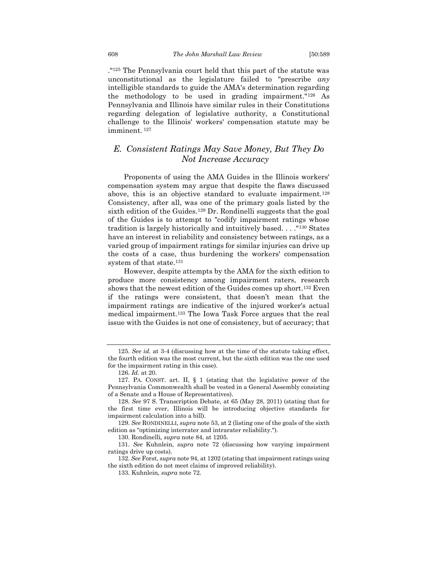."<sup>125</sup> The Pennsylvania court held that this part of the statute was unconstitutional as the legislature failed to "prescribe *any* intelligible standards to guide the AMA's determination regarding the methodology to be used in grading impairment."<sup>126</sup> As Pennsylvania and Illinois have similar rules in their Constitutions regarding delegation of legislative authority, a Constitutional challenge to the Illinois' workers' compensation statute may be imminent. <sup>127</sup>

## <span id="page-20-0"></span>*E. Consistent Ratings May Save Money, But They Do Not Increase Accuracy*

Proponents of using the AMA Guides in the Illinois workers' compensation system may argue that despite the flaws discussed above, this is an objective standard to evaluate impairment.<sup>128</sup> Consistency, after all, was one of the primary goals listed by the sixth edition of the Guides.<sup>129</sup> Dr. Rondinelli suggests that the goal of the Guides is to attempt to "codify impairment ratings whose tradition is largely historically and intuitively based. . . ."<sup>130</sup> States have an interest in reliability and consistency between ratings, as a varied group of impairment ratings for similar injuries can drive up the costs of a case, thus burdening the workers' compensation system of that state.<sup>131</sup>

However, despite attempts by the AMA for the sixth edition to produce more consistency among impairment raters, research shows that the newest edition of the Guides comes up short.<sup>132</sup> Even if the ratings were consistent, that doesn't mean that the impairment ratings are indicative of the injured worker's actual medical impairment.<sup>133</sup> The Iowa Task Force argues that the real issue with the Guides is not one of consistency, but of accuracy; that

130. Rondinelli*, supra* note 84, at 1205.

<sup>125.</sup> *See id.* at 3-4 (discussing how at the time of the statute taking effect, the fourth edition was the most current, but the sixth edition was the one used for the impairment rating in this case).

<sup>126.</sup> *Id.* at 20.

<sup>127.</sup> PA. CONST. art. II, § 1 (stating that the legislative power of the Pennsylvania Commonwealth shall be vested in a General Assembly consisting of a Senate and a House of Representatives).

<sup>128.</sup> *See* 97 S. Transcription Debate, at 65 (May 28, 2011) (stating that for the first time ever, Illinois will be introducing objective standards for impairment calculation into a bill).

<sup>129.</sup> *See* RONDINELLI*, supra* note 53, at 2 (listing one of the goals of the sixth edition as "optimizing interrater and intrarater reliability.").

<sup>131.</sup> *See* Kuhnlein, *supra* note 72 (discussing how varying impairment ratings drive up costs).

<sup>132.</sup> *See* Forst*, supra* note 94, at 1202 (stating that impairment ratings using the sixth edition do not meet claims of improved reliability).

<sup>133.</sup> Kuhnlein*, supra* note 72.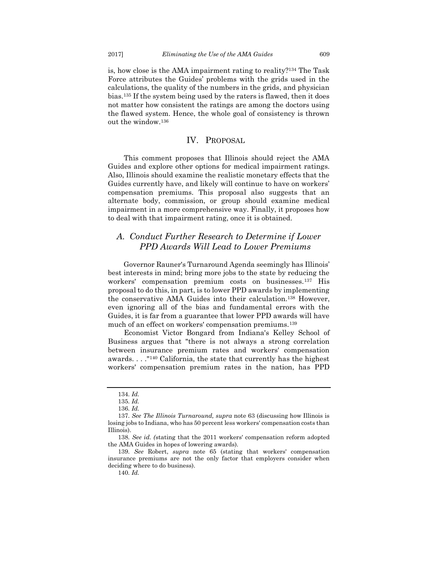is, how close is the AMA impairment rating to reality?<sup>134</sup> The Task Force attributes the Guides' problems with the grids used in the calculations, the quality of the numbers in the grids, and physician bias.<sup>135</sup> If the system being used by the raters is flawed, then it does not matter how consistent the ratings are among the doctors using the flawed system. Hence, the whole goal of consistency is thrown out the window.<sup>136</sup>

#### IV. PROPOSAL

<span id="page-21-0"></span>This comment proposes that Illinois should reject the AMA Guides and explore other options for medical impairment ratings. Also, Illinois should examine the realistic monetary effects that the Guides currently have, and likely will continue to have on workers' compensation premiums. This proposal also suggests that an alternate body, commission, or group should examine medical impairment in a more comprehensive way. Finally, it proposes how to deal with that impairment rating, once it is obtained.

## <span id="page-21-1"></span>*A. Conduct Further Research to Determine if Lower PPD Awards Will Lead to Lower Premiums*

Governor Rauner's Turnaround Agenda seemingly has Illinois' best interests in mind; bring more jobs to the state by reducing the workers' compensation premium costs on businesses.<sup>137</sup> His proposal to do this, in part, is to lower PPD awards by implementing the conservative AMA Guides into their calculation.<sup>138</sup> However, even ignoring all of the bias and fundamental errors with the Guides, it is far from a guarantee that lower PPD awards will have much of an effect on workers' compensation premiums.<sup>139</sup>

Economist Victor Bongard from Indiana's Kelley School of Business argues that "there is not always a strong correlation between insurance premium rates and workers' compensation awards. . . ."<sup>140</sup> California, the state that currently has the highest workers' compensation premium rates in the nation, has PPD

<sup>134.</sup> *Id.*

<sup>135.</sup> *Id.*

<sup>136.</sup> *Id.*

<sup>137.</sup> *See The Illinois Turnaround, supra* note 63 (discussing how Illinois is losing jobs to Indiana, who has 50 percent less workers' compensation costs than Illinois).

<sup>138.</sup> *See id. (*stating that the 2011 workers' compensation reform adopted the AMA Guides in hopes of lowering awards).

<sup>139.</sup> *See* Robert, *supra* note 65 (stating that workers' compensation insurance premiums are not the only factor that employers consider when deciding where to do business).

<sup>140.</sup> *Id.*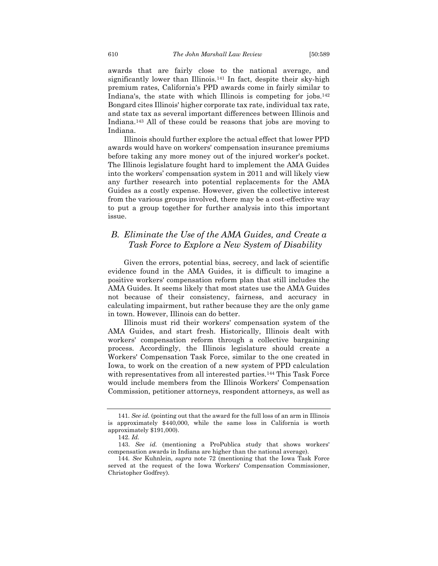awards that are fairly close to the national average, and significantly lower than Illinois.<sup>141</sup> In fact, despite their sky-high premium rates, California's PPD awards come in fairly similar to Indiana's, the state with which Illinois is competing for jobs.<sup>142</sup> Bongard cites Illinois' higher corporate tax rate, individual tax rate, and state tax as several important differences between Illinois and Indiana.<sup>143</sup> All of these could be reasons that jobs are moving to Indiana.

Illinois should further explore the actual effect that lower PPD awards would have on workers' compensation insurance premiums before taking any more money out of the injured worker's pocket. The Illinois legislature fought hard to implement the AMA Guides into the workers' compensation system in 2011 and will likely view any further research into potential replacements for the AMA Guides as a costly expense. However, given the collective interest from the various groups involved, there may be a cost-effective way to put a group together for further analysis into this important issue.

## <span id="page-22-0"></span>*B. Eliminate the Use of the AMA Guides, and Create a Task Force to Explore a New System of Disability*

Given the errors, potential bias, secrecy, and lack of scientific evidence found in the AMA Guides, it is difficult to imagine a positive workers' compensation reform plan that still includes the AMA Guides. It seems likely that most states use the AMA Guides not because of their consistency, fairness, and accuracy in calculating impairment, but rather because they are the only game in town. However, Illinois can do better.

Illinois must rid their workers' compensation system of the AMA Guides, and start fresh. Historically, Illinois dealt with workers' compensation reform through a collective bargaining process. Accordingly, the Illinois legislature should create a Workers' Compensation Task Force, similar to the one created in Iowa, to work on the creation of a new system of PPD calculation with representatives from all interested parties.<sup>144</sup> This Task Force would include members from the Illinois Workers' Compensation Commission, petitioner attorneys, respondent attorneys, as well as

<sup>141.</sup> *See id.* (pointing out that the award for the full loss of an arm in Illinois is approximately \$440,000, while the same loss in California is worth approximately \$191,000).

<sup>142.</sup> *Id.*

<sup>143.</sup> *See id.* (mentioning a ProPublica study that shows workers' compensation awards in Indiana are higher than the national average).

<sup>144.</sup> *See* Kuhnlein, *supra* note 72 (mentioning that the Iowa Task Force served at the request of the Iowa Workers' Compensation Commissioner, Christopher Godfrey).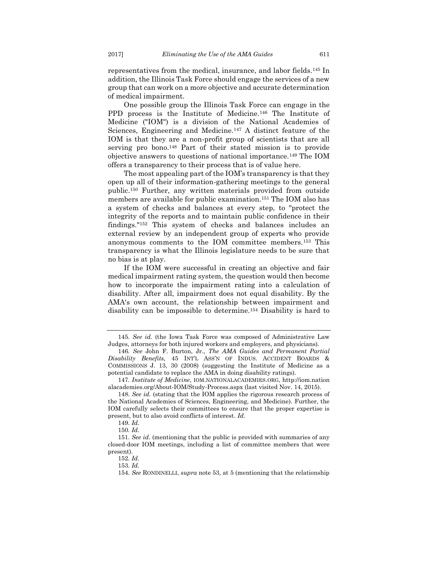representatives from the medical, insurance, and labor fields.<sup>145</sup> In addition, the Illinois Task Force should engage the services of a new group that can work on a more objective and accurate determination of medical impairment.

One possible group the Illinois Task Force can engage in the PPD process is the Institute of Medicine.<sup>146</sup> The Institute of Medicine ("IOM") is a division of the National Academies of Sciences, Engineering and Medicine.<sup>147</sup> A distinct feature of the IOM is that they are a non-profit group of scientists that are all serving pro bono.<sup>148</sup> Part of their stated mission is to provide objective answers to questions of national importance.<sup>149</sup> The IOM offers a transparency to their process that is of value here.

The most appealing part of the IOM's transparency is that they open up all of their information-gathering meetings to the general public.<sup>150</sup> Further, any written materials provided from outside members are available for public examination.<sup>151</sup> The IOM also has a system of checks and balances at every step, to "protect the integrity of the reports and to maintain public confidence in their findings."<sup>152</sup> This system of checks and balances includes an external review by an independent group of experts who provide anonymous comments to the IOM committee members.<sup>153</sup> This transparency is what the Illinois legislature needs to be sure that no bias is at play.

If the IOM were successful in creating an objective and fair medical impairment rating system, the question would then become how to incorporate the impairment rating into a calculation of disability. After all, impairment does not equal disability. By the AMA's own account, the relationship between impairment and disability can be impossible to determine.<sup>154</sup> Disability is hard to

<sup>145.</sup> *See id.* (the Iowa Task Force was composed of Administrative Law Judges, attorneys for both injured workers and employers, and physicians).

<sup>146.</sup> *See* John F. Burton, Jr., *The AMA Guides and Permanent Partial Disability Benefits,* 45 INT'L ASS'N OF INDUS. ACCIDENT BOARDS & COMMISSIONS J. 13, 30 (2008) (suggesting the Institute of Medicine as a potential candidate to replace the AMA in doing disability ratings).

<sup>147.</sup> *Institute of Medicine*, IOM.NATIONALACADEMIES.ORG, http://iom.nation alacademies.org/About-IOM/Study-Process.aspx (last visited Nov. 14, 2015).

<sup>148.</sup> *See id.* (stating that the IOM applies the rigorous research process of the National Academies of Sciences, Engineering, and Medicine). Further, the IOM carefully selects their committees to ensure that the proper expertise is present, but to also avoid conflicts of interest. *Id.*

<sup>149.</sup> *Id.*

<sup>150.</sup> *Id.*

<sup>151.</sup> *See id.* (mentioning that the public is provided with summaries of any closed-door IOM meetings, including a list of committee members that were present).

<sup>152.</sup> *Id.*

<sup>153.</sup> *Id.*

<sup>154.</sup> *See* RONDINELLI, *supra* note 53, at 5 (mentioning that the relationship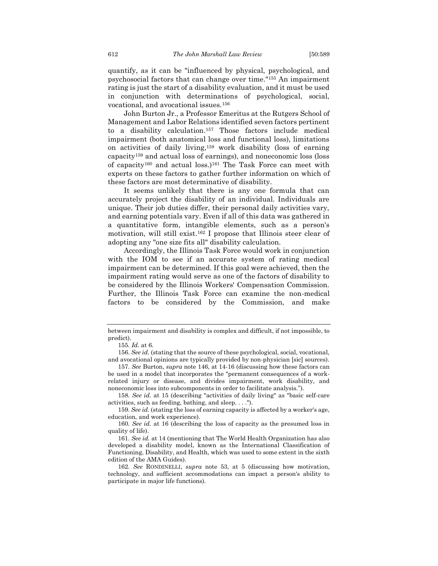quantify, as it can be "influenced by physical, psychological, and psychosocial factors that can change over time."<sup>155</sup> An impairment rating is just the start of a disability evaluation, and it must be used in conjunction with determinations of psychological, social, vocational, and avocational issues.<sup>156</sup>

John Burton Jr., a Professor Emeritus at the Rutgers School of Management and Labor Relations identified seven factors pertinent to a disability calculation.<sup>157</sup> Those factors include medical impairment (both anatomical loss and functional loss), limitations on activities of daily living,<sup>158</sup> work disability (loss of earning capacity<sup>159</sup> and actual loss of earnings), and noneconomic loss (loss of capacity<sup>160</sup> and actual loss.)<sup>161</sup> The Task Force can meet with experts on these factors to gather further information on which of these factors are most determinative of disability.

It seems unlikely that there is any one formula that can accurately project the disability of an individual. Individuals are unique. Their job duties differ, their personal daily activities vary, and earning potentials vary. Even if all of this data was gathered in a quantitative form, intangible elements, such as a person's motivation, will still exist.<sup>162</sup> I propose that Illinois steer clear of adopting any "one size fits all" disability calculation.

Accordingly, the Illinois Task Force would work in conjunction with the IOM to see if an accurate system of rating medical impairment can be determined. If this goal were achieved, then the impairment rating would serve as one of the factors of disability to be considered by the Illinois Workers' Compensation Commission. Further, the Illinois Task Force can examine the non-medical factors to be considered by the Commission, and make

158. *See id.* at 15 (describing "activities of daily living" as "basic self-care activities, such as feeding, bathing, and sleep. . . .").

between impairment and disability is complex and difficult, if not impossible, to predict).

<sup>155.</sup> *Id.* at 6.

<sup>156.</sup> *See id.* (stating that the source of these psychological, social, vocational, and avocational opinions are typically provided by non-physician [sic] sources).

<sup>157.</sup> *See* Burton, *supra* note 146, at 14-16 (discussing how these factors can be used in a model that incorporates the "permanent consequences of a workrelated injury or disease, and divides impairment, work disability, and noneconomic loss into subcomponents in order to facilitate analysis.").

<sup>159.</sup> *See id.* (stating the loss of earning capacity is affected by a worker's age, education, and work experience).

<sup>160.</sup> *See id.* at 16 (describing the loss of capacity as the presumed loss in quality of life).

<sup>161.</sup> *See id.* at 14 (mentioning that The World Health Organization has also developed a disability model, known as the International Classification of Functioning, Disability, and Health, which was used to some extent in the sixth edition of the AMA Guides).

<sup>162.</sup> *See* RONDINELLI, *supra* note 53, at 5 (discussing how motivation, technology, and sufficient accommodations can impact a person's ability to participate in major life functions).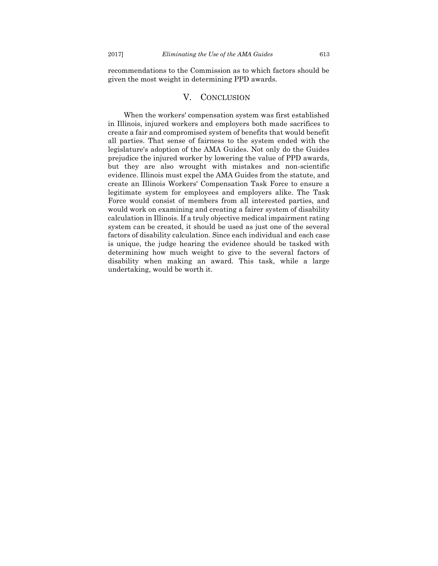recommendations to the Commission as to which factors should be given the most weight in determining PPD awards.

#### V. CONCLUSION

<span id="page-25-0"></span>When the workers' compensation system was first established in Illinois, injured workers and employers both made sacrifices to create a fair and compromised system of benefits that would benefit all parties. That sense of fairness to the system ended with the legislature's adoption of the AMA Guides. Not only do the Guides prejudice the injured worker by lowering the value of PPD awards, but they are also wrought with mistakes and non-scientific evidence. Illinois must expel the AMA Guides from the statute, and create an Illinois Workers' Compensation Task Force to ensure a legitimate system for employees and employers alike. The Task Force would consist of members from all interested parties, and would work on examining and creating a fairer system of disability calculation in Illinois. If a truly objective medical impairment rating system can be created, it should be used as just one of the several factors of disability calculation. Since each individual and each case is unique, the judge hearing the evidence should be tasked with determining how much weight to give to the several factors of disability when making an award. This task, while a large undertaking, would be worth it.